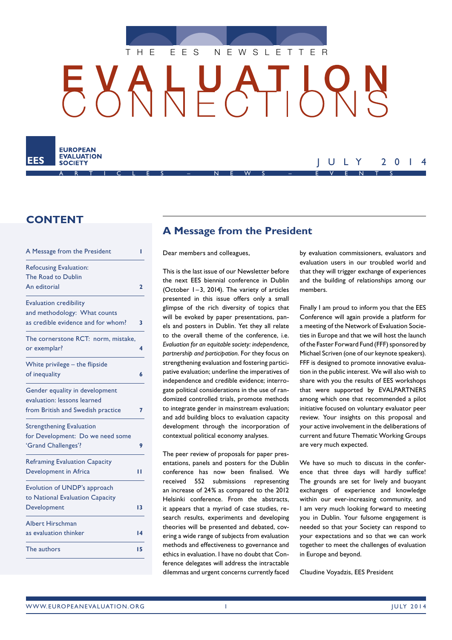

HUAT 6



# **CONTENT**

| A Message from the President         | ı            |
|--------------------------------------|--------------|
| <b>Refocusing Evaluation:</b>        |              |
| The Road to Dublin                   |              |
| An editorial                         | $\mathbf{2}$ |
| <b>Evaluation credibility</b>        |              |
| and methodology: What counts         |              |
| as credible evidence and for whom?   | 3            |
| The cornerstone RCT: norm, mistake,  |              |
| or exemplar?                         | 4            |
| White privilege - the flipside       |              |
| of inequality                        | 6            |
| Gender equality in development       |              |
| evaluation: lessons learned          |              |
| from British and Swedish practice    | 7            |
| <b>Strengthening Evaluation</b>      |              |
| for Development: Do we need some     |              |
| 'Grand Challenges'?                  | 9            |
| <b>Reframing Evaluation Capacity</b> |              |
| Development in Africa                | н            |
| Evolution of UNDP's approach         |              |
| to National Evaluation Capacity      |              |
| Development                          | 13           |
| <b>Albert Hirschman</b>              |              |
| as evaluation thinker                | 14           |
| The authors                          | 15           |

# **A Message from the President**

Dear members and colleagues,

This is the last issue of our Newsletter before the next EES biennial conference in Dublin (October  $1-3$ , 2014). The variety of articles presented in this issue offers only a small glimpse of the rich diversity of topics that will be evoked by paper presentations, panels and posters in Dublin. Yet they all relate to the overall theme of the conference, i.e. *Evaluation for an equitable society: independence, partnership and participation*. For they focus on strengthening evaluation and fostering participative evaluation; underline the imperatives of independence and credible evidence; interrogate political considerations in the use of randomized controlled trials, promote methods to integrate gender in mainstream evaluation; and add building blocs to evaluation capacity development through the incorporation of contextual political economy analyses.

The peer review of proposals for paper presentations, panels and posters for the Dublin conference has now been finalised. We received 552 submissions representing an increase of 24% as compared to the 2012 Helsinki conference. From the abstracts, it appears that a myriad of case studies, research results, experiments and developing theories will be presented and debated, covering a wide range of subjects from evaluation methods and effectiveness to governance and ethics in evaluation. I have no doubt that Conference delegates will address the intractable dilemmas and urgent concerns currently faced

by evaluation commissioners, evaluators and evaluation users in our troubled world and that they will trigger exchange of experiences and the building of relationships among our members.

JULY 2014

Finally I am proud to inform you that the EES Conference will again provide a platform for a meeting of the Network of Evaluation Societies in Europe and that we will host the launch of the Faster Forward Fund (FFF) sponsored by Michael Scriven (one of our keynote speakers). FFF is designed to promote innovative evaluation in the public interest. We will also wish to share with you the results of EES workshops that were supported by EVALPARTNERS among which one that recommended a pilot initiative focused on voluntary evaluator peer review. Your insights on this proposal and your active involvement in the deliberations of current and future Thematic Working Groups are very much expected.

We have so much to discuss in the conference that three days will hardly suffice! The grounds are set for lively and buoyant exchanges of experience and knowledge within our ever-increasing community, and I am very much looking forward to meeting you in Dublin. Your fulsome engagement is needed so that your Society can respond to your expectations and so that we can work together to meet the challenges of evaluation in Europe and beyond.

Claudine Voyadzis, EES President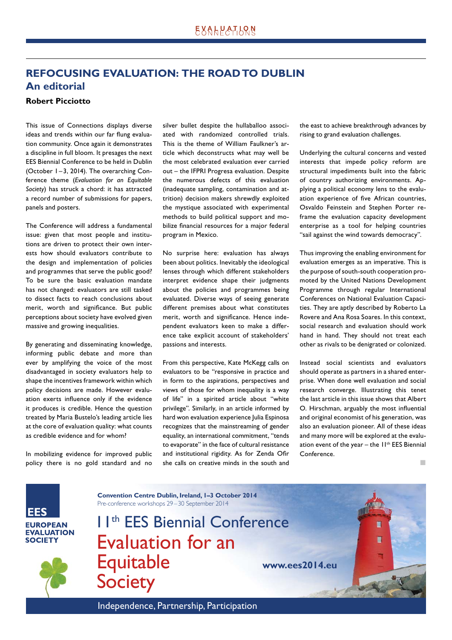# **REFOCUSING EVALUATION: THE ROAD TO DUBLIN An editorial**

### **Robert Picciotto**

This issue of Connections displays diverse ideas and trends within our far flung evaluation community. Once again it demonstrates a discipline in full bloom. It presages the next EES Biennial Conference to be held in Dublin (October 1-3, 2014). The overarching Conference theme (*Evaluation for an Equitable Society*) has struck a chord: it has attracted a record number of submissions for papers, panels and posters.

The Conference will address a fundamental issue: given that most people and institutions are driven to protect their own interests how should evaluators contribute to the design and implementation of policies and programmes that serve the public good? To be sure the basic evaluation mandate has not changed: evaluators are still tasked to dissect facts to reach conclusions about merit, worth and significance. But public perceptions about society have evolved given massive and growing inequalities.

By generating and disseminating knowledge, informing public debate and more than ever by amplifying the voice of the most disadvantaged in society evaluators help to shape the incentives framework within which policy decisions are made. However evaluation exerts influence only if the evidence it produces is credible. Hence the question treated by Maria Bustelo's leading article lies at the core of evaluation quality: what counts as credible evidence and for whom?

In mobilizing evidence for improved public policy there is no gold standard and no silver bullet despite the hullaballoo associated with randomized controlled trials. This is the theme of William Faulkner's article which deconstructs what may well be the most celebrated evaluation ever carried out – the IFPRI Progresa evaluation. Despite the numerous defects of this evaluation (inadequate sampling, contamination and attrition) decision makers shrewdly exploited the mystique associated with experimental methods to build political support and mobilize financial resources for a major federal program in Mexico.

No surprise here: evaluation has always been about politics. Inevitably the ideological lenses through which different stakeholders interpret evidence shape their judgments about the policies and programmes being evaluated. Diverse ways of seeing generate different premises about what constitutes merit, worth and significance. Hence independent evaluators keen to make a difference take explicit account of stakeholders' passions and interests.

From this perspective, Kate McKegg calls on evaluators to be "responsive in practice and in form to the aspirations, perspectives and views of those for whom inequality is a way of life" in a spirited article about "white privilege". Similarly, in an article informed by hard won evaluation experience Julia Espinosa recognizes that the mainstreaming of gender equality, an international commitment, "tends to evaporate" in the face of cultural resistance and institutional rigidity. As for Zenda Ofir she calls on creative minds in the south and the east to achieve breakthrough advances by rising to grand evaluation challenges.

Underlying the cultural concerns and vested interests that impede policy reform are structural impediments built into the fabric of country authorizing environments. Applying a political economy lens to the evaluation experience of five African countries, Osvaldo Feinstein and Stephen Porter reframe the evaluation capacity development enterprise as a tool for helping countries "sail against the wind towards democracy".

Thus improving the enabling environment for evaluation emerges as an imperative. This is the purpose of south-south cooperation promoted by the United Nations Development Programme through regular International Conferences on National Evaluation Capacities. They are aptly described by Roberto La Rovere and Ana Rosa Soares. In this context, social research and evaluation should work hand in hand. They should not treat each other as rivals to be denigrated or colonized.

Instead social scientists and evaluators should operate as partners in a shared enterprise. When done well evaluation and social research converge. Illustrating this tenet the last article in this issue shows that Albert O. Hirschman, arguably the most influential and original economist of his generation, was also an evaluation pioneer. All of these ideas and many more will be explored at the evaluation event of the year – the  $11<sup>th</sup> EES$  Biennial Conference.

 $\mathbb{R}^2$ 

**EES EUROPEAN EVALUATION SOCIETY** 



11th EES Biennial Conference Evaluation for an Equitable **Society www.ees2014.eu**

**Convention Centre Dublin, Ireland, 1–3 October 2014**

Pre-conference workshops 29 – 30 September 2014

Independence, Partnership, Participation and a state of the control of the control of the control of the control of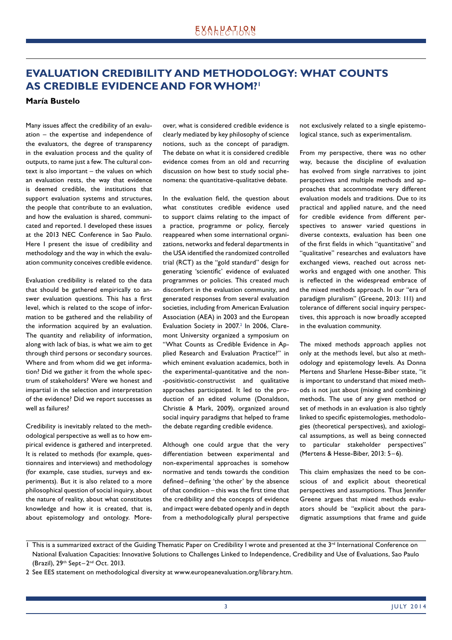# **EVALUATION CREDIBILITY AND METHODOLOGY: WHAT COUNTS AS CREDIBLE EVIDENCE AND FOR WHOM?1**

#### **María Bustelo**

Many issues affect the credibility of an evaluation – the expertise and independence of the evaluators, the degree of transparency in the evaluation process and the quality of outputs, to name just a few. The cultural context is also important – the values on which an evaluation rests, the way that evidence is deemed credible, the institutions that support evaluation systems and structures, the people that contribute to an evaluation, and how the evaluation is shared, communicated and reported. I developed these issues at the 2013 NEC Conference in Sao Paulo. Here I present the issue of credibility and methodology and the way in which the evaluation community conceives credible evidence.

Evaluation credibility is related to the data that should be gathered empirically to answer evaluation questions. This has a first level, which is related to the scope of information to be gathered and the reliability of the information acquired by an evaluation. The quantity and reliability of information, along with lack of bias, is what we aim to get through third persons or secondary sources. Where and from whom did we get information? Did we gather it from the whole spectrum of stakeholders? Were we honest and impartial in the selection and interpretation of the evidence? Did we report successes as well as failures?

Credibility is inevitably related to the methodological perspective as well as to how empirical evidence is gathered and interpreted. It is related to methods (for example, questionnaires and interviews) and methodology (for example, case studies, surveys and experiments). But it is also related to a more philosophical question of social inquiry, about the nature of reality, about what constitutes knowledge and how it is created, that is, about epistemology and ontology. Moreover, what is considered credible evidence is clearly mediated by key philosophy of science notions, such as the concept of paradigm. The debate on what it is considered credible evidence comes from an old and recurring discussion on how best to study social phenomena: the quantitative-qualitative debate.

In the evaluation field, the question about what constitutes credible evidence used to support claims relating to the impact of a practice, programme or policy, fiercely reappeared when some international organizations, networks and federal departments in the USA identified the randomized controlled trial (RCT) as the "gold standard" design for generating 'scientific' evidence of evaluated programmes or policies. This created much discomfort in the evaluation community, and generated responses from several evaluation societies, including from American Evaluation Association (AEA) in 2003 and the European Evaluation Society in 2007.<sup>2</sup> In 2006, Claremont University organized a symposium on "What Counts as Credible Evidence in Applied Research and Evaluation Practice?" in which eminent evaluation academics, both in the experimental-quantitative and the non- -positivistic-constructivist and qualitative approaches participated. It led to the production of an edited volume (Donaldson, Christie & Mark, 2009), organized around social inquiry paradigms that helped to frame the debate regarding credible evidence.

Although one could argue that the very differentiation between experimental and non-experimental approaches is somehow normative and tends towards the condition defined-defining 'the other' by the absence of that condition – this was the first time that the credibility and the concepts of evidence and impact were debated openly and in depth from a methodologically plural perspective

not exclusively related to a single epistemological stance, such as experimentalism.

From my perspective, there was no other way, because the discipline of evaluation has evolved from single narratives to joint perspectives and multiple methods and approaches that accommodate very different evaluation models and traditions. Due to its practical and applied nature, and the need for credible evidence from different perspectives to answer varied questions in diverse contexts, evaluation has been one of the first fields in which "quantitative" and "qualitative" researches and evaluators have exchanged views, reached out across networks and engaged with one another. This is reflected in the widespread embrace of the mixed methods approach. In our "era of paradigm pluralism" (Greene, 2013: 111) and tolerance of different social inquiry perspectives, this approach is now broadly accepted in the evaluation community.

The mixed methods approach applies not only at the methods level, but also at methodology and epistemology levels. As Donna Mertens and Sharlene Hesse-Biber state, "it is important to understand that mixed methods is not just about (mixing and combining) methods. The use of any given method or set of methods in an evaluation is also tightly linked to specific epistemologies, methodologies (theoretical perspectives), and axiological assumptions, as well as being connected to particular stakeholder perspectives" (Mertens & Hesse-Biber, 2013: 5-6).

This claim emphasizes the need to be conscious of and explicit about theoretical perspectives and assumptions. Thus Jennifer Greene argues that mixed methods evaluators should be "explicit about the paradigmatic assumptions that frame and guide

 $\overline{1}$  This is a summarized extract of the Guiding Thematic Paper on Credibility I wrote and presented at the  $3<sup>rd</sup>$  International Conference on National Evaluation Capacities: Innovative Solutions to Challenges Linked to Independence, Credibility and Use of Evaluations, Sao Paulo (Brazil),  $29<sup>th</sup>$  Sept $-2<sup>nd</sup>$  Oct. 2013.

<sup>2</sup> See EES statement on methodological diversity at www.europeanevaluation.org/library.htm.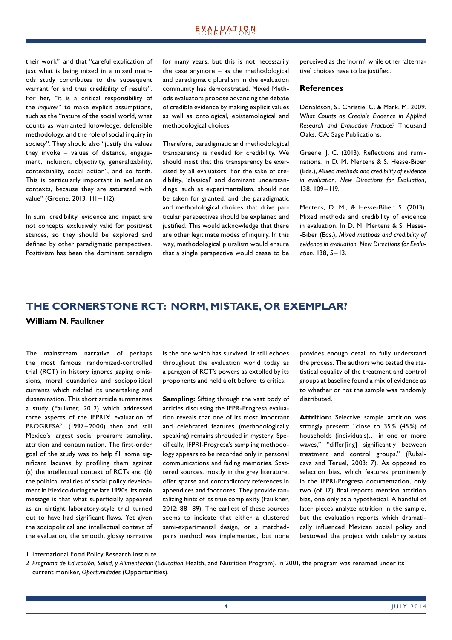### **EXALPATLQN**

their work", and that "careful explication of just what is being mixed in a mixed methods study contributes to the subsequent warrant for and thus credibility of results". For her, "it is a critical responsibility of the *inquirer*" to make explicit assumptions, such as the "nature of the social world, what counts as warranted knowledge, defensible methodology, and the role of social inquiry in society". They should also "justify the values they invoke – values of distance, engagement, inclusion, objectivity, generalizability, contextuality, social action", and so forth. This is particularly important in evaluation contexts, because they are saturated with value" (Greene, 2013: 111 – 112).

In sum, credibility, evidence and impact are not concepts exclusively valid for positivist stances, so they should be explored and defined by other paradigmatic perspectives. Positivism has been the dominant paradigm for many years, but this is not necessarily the case anymore – as the methodological and paradigmatic pluralism in the evaluation community has demonstrated. Mixed Methods evaluators propose advancing the debate of credible evidence by making explicit values as well as ontological, epistemological and methodological choices.

Therefore, paradigmatic and methodological transparency is needed for credibility. We should insist that this transparency be exercised by all evaluators. For the sake of credibility, 'classical' and dominant understandings, such as experimentalism, should not be taken for granted, and the paradigmatic and methodological choices that drive particular perspectives should be explained and justified. This would acknowledge that there are other legitimate modes of inquiry. In this way, methodological pluralism would ensure that a single perspective would cease to be perceived as the 'norm', while other 'alternative' choices have to be justified.

#### **References**

Donaldson, S., Christie, C. & Mark, M. 2009. *What Counts as Credible Evidence in Applied Research and Evaluation Practice?* Thousand Oaks, CA: Sage Publications.

Greene, J. C. (2013). Reflections and ruminations. In D. M. Mertens & S. Hesse-Biber (Eds.), *Mixed methods and credibility of evidence in evaluation. New Directions for Evaluation*, 138, 109 – 119.

Mertens, D. M., & Hesse-Biber, S. (2013). Mixed methods and credibility of evidence in evaluation. In D. M. Mertens & S. Hesse- -Biber (Eds.), *Mixed methods and credibility of evidence in evaluation. New Directions for Evaluation*, 138, 5 – 13.

# **THE CORNERSTONE RCT: NORM, MISTAKE, OR EXEMPLAR?**

### **William N. Faulkner**

The mainstream narrative of perhaps the most famous randomized-controlled trial (RCT) in history ignores gaping omissions, moral quandaries and sociopolitical currents which riddled its undertaking and dissemination. This short article summarizes a study (Faulkner, 2012) which addressed three aspects of the IFPRI's' evaluation of PROGRESA2 , (1997 – 2000) then and still Mexico's largest social program: sampling, attrition and contamination. The first-order goal of the study was to help fill some significant lacunas by profiling them against (a) the intellectual context of RCTs and (b) the political realities of social policy development in Mexico during the late 1990s. Its main message is that what superficially appeared as an airtight laboratory-style trial turned out to have had significant flaws. Yet given the sociopolitical and intellectual context of the evaluation, the smooth, glossy narrative

is the one which has survived. It still echoes throughout the evaluation world today as a paragon of RCT's powers as extolled by its proponents and held aloft before its critics.

**Sampling:** Sifting through the vast body of articles discussing the IFPR-Progresa evaluation reveals that one of its most important and celebrated features (methodologically speaking) remains shrouded in mystery. Specifi cally, IFPRI-Progresa's sampling methodology appears to be recorded only in personal communications and fading memories. Scattered sources, mostly in the grey literature, offer sparse and contradictory references in appendices and footnotes. They provide tantalizing hints of its true complexity (Faulkner, 2012: 88 – 89). The earliest of these sources seems to indicate that either a clustered semi-experimental design, or a matchedpairs method was implemented, but none provides enough detail to fully understand the process. The authors who tested the statistical equality of the treatment and control groups at baseline found a mix of evidence as to whether or not the sample was randomly distributed.

**Attrition:** Selective sample attrition was strongly present: "close to 35% (45%) of households (individuals)… in one or more waves," "differ[ing] significantly between treatment and control groups." (Rubalcava and Teruel, 2003: 7). As opposed to selection bias, which features prominently in the IFPRI-Progresa documentation, only two (of 17) final reports mention attrition bias, one only as a hypothetical. A handful of later pieces analyze attrition in the sample, but the evaluation reports which dramatically influenced Mexican social policy and bestowed the project with celebrity status

1 International Food Policy Research Institute.

<sup>2</sup> *Programa de Educación, Salud, y Alimentación* (*Education* Health, and Nutrition Program). In 2001, the program was renamed under its current moniker, *Oportunidades* (Opportunities).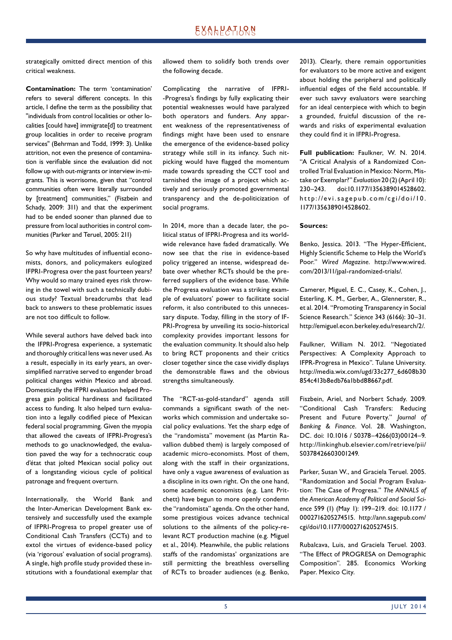## **EXALPATLQN**

strategically omitted direct mention of this critical weakness.

**Contamination:** The term 'contamination' refers to several different concepts. In this article, I define the term as the possibility that "individuals from control localities or other localities [could have] immigrate[d] to treatment group localities in order to receive program services" (Behrman and Todd, 1999: 3). Unlike attrition, not even the presence of contamination is verifiable since the evaluation did not follow up with out-migrants or interview in-migrants. This is worrisome, given that "control communities often were literally surrounded by [treatment] communities," (Fiszbein and Schady, 2009: 311) and that the experiment had to be ended sooner than planned due to pressure from local authorities in control communities (Parker and Teruel, 2005: 211)

So why have multitudes of influential economists, donors, and policymakers eulogized IFPRI-Progresa over the past fourteen years? Why would so many trained eyes risk throwing in the towel with such a technically dubious study? Textual breadcrumbs that lead back to answers to these problematic issues are not too difficult to follow.

While several authors have delved back into the IFPRI-Progresa experience, a systematic and thoroughly critical lens was never used. As a result, especially in its early years, an oversimplified narrative served to engender broad political changes within Mexico and abroad. Domestically the IFPRI evaluation helped Progresa gain political hardiness and facilitated access to funding. It also helped turn evaluation into a legally codified piece of Mexican federal social programming. Given the myopia that allowed the caveats of IFPRI-Progresa's methods to go unacknowledged, the evaluation paved the way for a technocratic coup d'état that jolted Mexican social policy out of a longstanding vicious cycle of political patronage and frequent overturn.

Internationally, the World Bank and the Inter-American Development Bank extensively and successfully used the example of IFPRI-Progresa to propel greater use of Conditional Cash Transfers (CCTs) and to extol the virtues of evidence-based policy (via 'rigorous' evaluation of social programs). A single, high profile study provided these institutions with a foundational exemplar that allowed them to solidify both trends over the following decade.

Complicating the narrative of IFPRI- -Progresa's findings by fully explicating their potential weaknesses would have paralyzed both operators and funders. Any apparent weakness of the representativeness of findings might have been used to ensnare the emergence of the evidence -based policy strategy while still in its infancy. Such nitpicking would have flagged the momentum made towards spreading the CCT tool and tarnished the image of a project which actively and seriously promoted governmental transparency and the de-politicization of social programs.

In 2014, more than a decade later, the political status of IFPRI-Progresa and its worldwide relevance have faded dramatically. We now see that the rise in evidence-based policy triggered an intense, widespread debate over whether RCTs should be the preferred suppliers of the evidence base. While the Progresa evaluation was a striking example of evaluators' power to facilitate social reform, it also contributed to this unnecessary dispute. Today, filling in the story of IF-PRI-Progresa by unveiling its socio-historical complexity provides important lessons for the evaluation community. It should also help to bring RCT proponents and their critics closer together since the case vividly displays the demonstrable flaws and the obvious strengths simultaneously.

The "RCT-as-gold-standard" agenda still commands a significant swath of the networks which commission and undertake social policy evaluations. Yet the sharp edge of the "randomista" movement (as Martin Ravallion dubbed them) is largely composed of academic micro-economists. Most of them, along with the staff in their organizations, have only a vague awareness of evaluation as a discipline in its own right. On the one hand, some academic economists (e.g. Lant Pritchett) have begun to more openly condemn the "randomista" agenda. On the other hand, some prestigious voices advance technical solutions to the ailments of the policy-relevant RCT production machine (e.g. Miguel et al., 2014). Meanwhile, the public relations staffs of the randomistas' organizations are still permitting the breathless overselling of RCTs to broader audiences (e.g. Benko, 2013). Clearly, there remain opportunities for evaluators to be more active and exigent about holding the peripheral and politically influential edges of the field accountable. If ever such savvy evaluators were searching for an ideal centerpiece with which to begin a grounded, fruitful discussion of the rewards and risks of experimental evaluation they could find it in IFPRI-Progresa.

**Full publication:** Faulkner, W. N. 2014. "A Critical Analysis of a Randomized Controlled Trial Evaluation in Mexico: Norm, Mistake or Exemplar?" *Evaluation* 20 (2) (April 10): 230–243. doi:10.1177/ 1356389014528602. http://evi.sagepub.com/cgi/doi/10. 1177/1356389014528602.

#### **Sources:**

Benko, Jessica. 2013. "The Hyper-Efficient, Highly Scientific Scheme to Help the World's Poor." *Wired Magazine*. http://www.wired. com/2013/11/jpal-randomized-trials/.

Camerer, Miguel, E. C., Casey, K., Cohen, J., Esterling, K. M., Gerber, A., Glennerster, R., et al. 2014. "Promoting Transparency in Social Science Research." *Science* 343 (6166): 30–31. http://emiguel.econ.berkeley.edu/research/2/.

Faulkner, William N. 2012. "Negotiated Perspectives: A Complexity Approach to IFPR-Progresa in Mexico". Tulane University. http://media.wix.com/ugd/33c277\_6d608b30 854c413b8edb76a1bbd88667.pdf.

Fiszbein, Ariel, and Norbert Schady. 2009. "Conditional Cash Transfers: Reducing Present and Future Poverty." *Journal of Banking & Finance*. Vol. 28. Washington, DC. doi: 10.1016 / S0378–4266(03)00124–9. http://linkinghub.elsevier.com/retrieve/pii/ S0378426603001249.

Parker, Susan W., and Graciela Teruel. 2005. "Randomization and Social Program Evaluation: The Case of Progresa." *The ANNALS of the American Academy of Political and Social Science* 599 (1) (May 1): 199–219. doi: 10.1177 / 0002716205274515. http://ann. sagepub.com/ cgi/doi/ 10. 1177/0002716205274515.

Rubalcava, Luis, and Graciela Teruel. 2003. "The Effect of PROGRESA on Demographic Composition". 285. Economics Working Paper. Mexico City.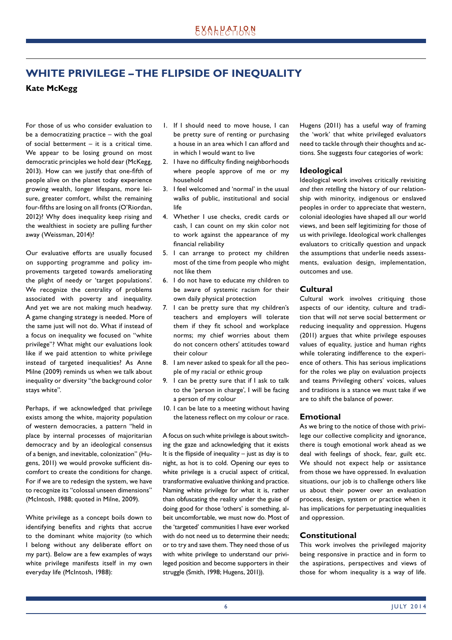# **WHITE PRIVILEGE – THE FLIPSIDE OF INEQUALITY**

### **Kate McKegg**

For those of us who consider evaluation to be a democratizing practice – with the goal of social betterment – it is a critical time. We appear to be losing ground on most democratic principles we hold dear (McKegg, 2013). How can we justify that one-fifth of people alive on the planet today experience growing wealth, longer lifespans, more leisure, greater comfort, whilst the remaining four-fifths are losing on all fronts (O'Riordan, 2012)? Why does inequality keep rising and the wealthiest in society are pulling further away (Weissman, 2014)?

Our evaluative efforts are usually focused on supporting programme and policy improvements targeted towards ameliorating the plight of needy or 'target populations'. We recognize the centrality of problems associated with poverty and inequality. And yet we are not making much headway. A game changing strategy is needed. More of the same just will not do. What if instead of a focus on inequality we focused on "white privilege"? What might our evaluations look like if we paid attention to white privilege instead of targeted inequalities? As Anne Milne (2009) reminds us when we talk about inequality or diversity "the background color stays white".

Perhaps, if we acknowledged that privilege exists among the white, majority population of western democracies, a pattern "held in place by internal processes of majoritarian democracy and by an ideological consensus of a benign, and inevitable, colonization" (Hugens, 2011) we would provoke sufficient discomfort to create the conditions for change. For if we are to redesign the system, we have to recognize its "colossal unseen dimensions" (McIntosh, 1988; quoted in Milne, 2009).

White privilege as a concept boils down to identifying benefits and rights that accrue to the dominant white majority (to which I belong without any deliberate effort on my part). Below are a few examples of ways white privilege manifests itself in my own everyday life (McIntosh, 1988):

- 1. If I should need to move house, I can be pretty sure of renting or purchasing a house in an area which I can afford and in which I would want to live
- 2. I have no difficulty finding neighborhoods where people approve of me or my household
- 3. I feel welcomed and 'normal' in the usual walks of public, institutional and social life
- 4. Whether I use checks, credit cards or cash, I can count on my skin color not to work against the appearance of my financial reliability
- 5. I can arrange to protect my children most of the time from people who might not like them
- 6. I do not have to educate my children to be aware of systemic racism for their own daily physical protection
- 7. I can be pretty sure that my children's teachers and employers will tolerate them if they fit school and workplace norms; my chief worries about them do not concern others' attitudes toward their colour
- 8. I am never asked to speak for all the people of my racial or ethnic group
- 9. I can be pretty sure that if I ask to talk to the 'person in charge', I will be facing a person of my colour
- 10. I can be late to a meeting without having the lateness reflect on my colour or race.

A focus on such white privilege is about switching the gaze and acknowledging that it exists It is the flipside of inequality  $-$  just as day is to night, as hot is to cold. Opening our eyes to white privilege is a crucial aspect of critical, transformative evaluative thinking and practice. Naming white privilege for what it is, rather than obfuscating the reality under the guise of doing good for those 'others' is something, albeit uncomfortable, we must now do. Most of the 'targeted' communities I have ever worked with do not need us to determine their needs; or to try and save them. They need those of us with white privilege to understand our privileged position and become supporters in their struggle (Smith, 1998; Hugens, 2011)).

Hugens (2011) has a useful way of framing the 'work' that white privileged evaluators need to tackle through their thoughts and actions. She suggests four categories of work:

### **Ideological**

Ideological work involves critically revisiting *and then retelling* the history of our relationship with minority, indigenous or enslaved peoples in order to appreciate that western, colonial ideologies have shaped all our world views, and been self legitimizing for those of us with privilege. Ideological work challenges evaluators to critically question and unpack the assumptions that underlie needs assessments, evaluation design, implementation, outcomes and use.

### **Cultural**

Cultural work involves critiquing those aspects of our identity, culture and tradition that will *not* serve social betterment or reducing inequality and oppression. Hugens (2011) argues that white privilege espouses values of equality, justice and human rights while tolerating indifference to the experience of others. This has serious implications for the roles we play on evaluation projects and teams Privileging others' voices, values and traditions is a stance we must take if we are to shift the balance of power.

### **Emotional**

As we bring to the notice of those with privilege our collective complicity and ignorance, there is tough emotional work ahead as we deal with feelings of shock, fear, guilt etc. We should not expect help or assistance from those we have oppressed. In evaluation situations, our job is to challenge others like us about their power over an evaluation process, design, system or practice when it has implications for perpetuating inequalities and oppression.

### **Constitutional**

This work involves the privileged majority being responsive in practice and in form to the aspirations, perspectives and views of those for whom inequality is a way of life.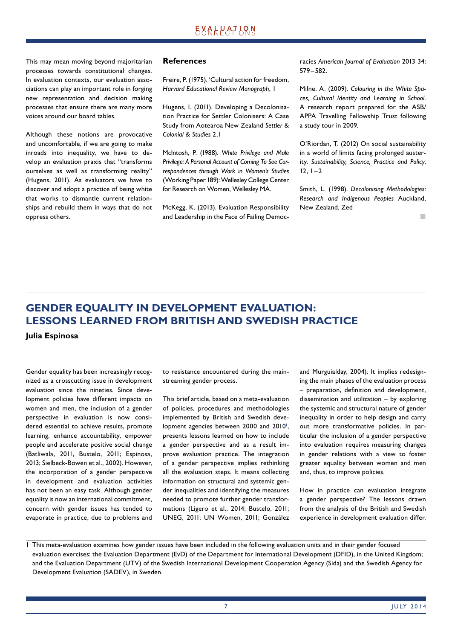This may mean moving beyond majoritarian processes towards constitutional changes. In evaluation contexts, our evaluation associations can play an important role in forging new representation and decision making processes that ensure there are many more voices around our board tables.

Although these notions are provocative and uncomfortable, if we are going to make inroads into inequality, we have to develop an evaluation praxis that "transforms ourselves as well as transforming reality" (Hugens, 2011). As evaluators we have to discover and adopt a practice of being white that works to dismantle current relationships and rebuild them in ways that do not oppress others.

#### **References**

Freire, P. (1975). 'Cultural action for freedom, *Harvard Educational Review Monograph*, 1

Hugens, I. (2011). Developing a Decolonisation Practice for Settler Colonisers: A Case Study from Aotearoa New Zealand *Settler & Colonial & Studies* 2,1

McIntosh, P. (1988). *White Privilege and Male Privilege: A Personal Account of Coming To See Correspondences through Work in Women's Studies* (Working Paper 189): Wellesley College Center for Research on Women, Wellesley MA.

McKegg, K. (2013). Evaluation Responsibility and Leadership in the Face of Failing Democracies *American Journal of Evaluation* 2013 34: 579 – 582.

Milne, A. (2009). *Colouring in the White Spaces, Cultural Identity and Learning in School*. A research report prepared for the ASB/ APPA Travelling Fellowship Trust following a study tour in 2009.

O'Riordan, T. (2012) On social sustainability in a world of limits facing prolonged austerity. *Sustainability, Science, Practice and Policy*,  $12, 1 - 2$ 

Smith, L. (1998). *Decolonising Methodologies: Research and Indigenous Peoples* Auckland, New Zealand, Zed

 $\mathbb{R}^2$ 

# **GENDER EQUALITY IN DEVELOPMENT EVALUATION: LESSONS LEARNED FROM BRITISH AND SWEDISH PRACTICE**

**Julia Espinosa**

Gender equality has been increasingly recognized as a crosscutting issue in development evaluation since the nineties. Since development policies have different impacts on women and men, the inclusion of a gender perspective in evaluation is now considered essential to achieve results, promote learning, enhance accountability, empower people and accelerate positive social change (Batliwala, 2011, Bustelo, 2011; Espinosa, 2013; Sielbeck-Bowen et al., 2002). However, the incorporation of a gender perspective in development and evaluation activities has not been an easy task. Although gender equality is now an international commitment, concern with gender issues has tended to evaporate in practice, due to problems and to resistance encountered during the mainstreaming gender process.

This brief article, based on a meta-evaluation of policies, procedures and methodologies implemented by British and Swedish development agencies between 2000 and 2010<sup>1</sup>, presents lessons learned on how to include a gender perspective and as a result improve evaluation practice. The integration of a gender perspective implies rethinking all the evaluation steps. It means collecting information on structural and systemic gender inequalities and identifying the measures needed to promote further gender transformations (Ligero et al., 2014; Bustelo, 2011; UNEG, 2011; UN Women, 2011; González

and Murguialday, 2004). It implies redesigning the main phases of the evaluation process – preparation, definition and development, dissemination and utilization – by exploring the systemic and structural nature of gender inequality in order to help design and carry out more transformative policies. In particular the inclusion of a gender perspective into evaluation requires measuring changes in gender relations with a view to foster greater equality between women and men and, thus, to improve policies.

How in practice can evaluation integrate a gender perspective? The lessons drawn from the analysis of the British and Swedish experience in development evaluation differ.

1 This meta-evaluation examines how gender issues have been included in the following evaluation units and in their gender focused evaluation exercises: the Evaluation Department (EvD) of the Department for International Development (DFID), in the United Kingdom; and the Evaluation Department (UTV) of the Swedish International Development Cooperation Agency (Sida) and the Swedish Agency for Development Evaluation (SADEV), in Sweden.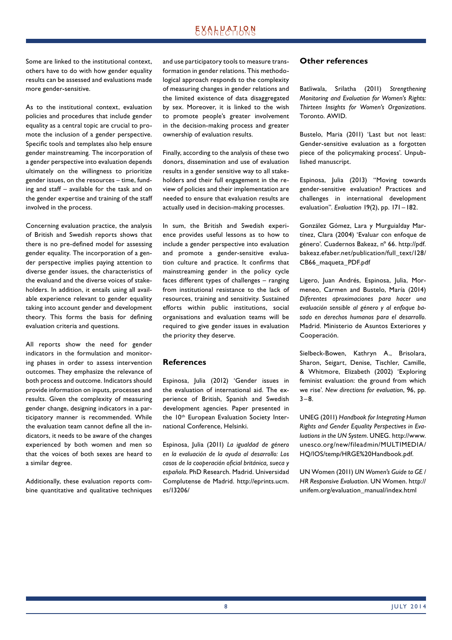## EXALPATLRN

Some are linked to the institutional context, others have to do with how gender equality results can be assessed and evaluations made more gender-sensitive.

As to the institutional context, evaluation policies and procedures that include gender equality as a central topic are crucial to promote the inclusion of a gender perspective. Specific tools and templates also help ensure gender mainstreaming. The incorporation of a gender perspective into evaluation depends ultimately on the willingness to prioritize gender issues, on the resources – time, funding and staff – available for the task and on the gender expertise and training of the staff involved in the process.

Concerning evaluation practice, the analysis of British and Swedish reports shows that there is no pre-defined model for assessing gender equality. The incorporation of a gender perspective implies paying attention to diverse gender issues, the characteristics of the evaluand and the diverse voices of stakeholders. In addition, it entails using all available experience relevant to gender equality taking into account gender and development theory. This forms the basis for defining evaluation criteria and questions.

All reports show the need for gender indicators in the formulation and monitoring phases in order to assess intervention outcomes. They emphasize the relevance of both process and outcome. Indicators should provide information on inputs, processes and results. Given the complexity of measuring gender change, designing indicators in a participatory manner is recommended. While the evaluation team cannot define all the indicators, it needs to be aware of the changes experienced by both women and men so that the voices of both sexes are heard to a similar degree.

Additionally, these evaluation reports combine quantitative and qualitative techniques and use participatory tools to measure transformation in gender relations. This methodological approach responds to the complexity of measuring changes in gender relations and the limited existence of data disaggregated by sex. Moreover, it is linked to the wish to promote people's greater involvement in the decision-making process and greater ownership of evaluation results.

Finally, according to the analysis of these two donors, dissemination and use of evaluation results in a gender sensitive way to all stakeholders and their full engagement in the review of policies and their implementation are needed to ensure that evaluation results are actually used in decision-making processes.

In sum, the British and Swedish experience provides useful lessons as to how to include a gender perspective into evaluation and promote a gender-sensitive evaluation culture and practice. It confirms that mainstreaming gender in the policy cycle faces different types of challenges – ranging from institutional resistance to the lack of resources, training and sensitivity. Sustained efforts within public institutions, social organisations and evaluation teams will be required to give gender issues in evaluation the priority they deserve.

### **References**

Espinosa, Julia (2012) 'Gender issues in the evaluation of international aid. The experience of British, Spanish and Swedish development agencies. Paper presented in the 10<sup>th</sup> European Evaluation Society International Conference, Helsinki.

Espinosa, Julia (2011) *La igualdad de género en la evaluación de la ayuda al desarrollo: Los casos de la cooperación ofi cial británica, sueca y española*. PhD Research. Madrid. Universidad Complutense de Madrid. http://eprints.ucm. es/13206/

#### **Other references**

Batliwala, Srilatha (2011) *Strengthening Monitoring and Evaluation for Women's Rights: Thirteen Insights for Women's Organizations*. Toronto. AWID.

Bustelo, Maria (2011) 'Last but not least: Gender-sensitive evaluation as a forgotten piece of the policymaking process'. Unpublished manuscript.

Espinosa, Julia (2013) "Moving towards gender-sensitive evaluation? Practices and challenges in international development evaluation". *Evaluation* 19(2), pp. 171 – 182.

González Gómez, Lara y Murguialday Martínez, Clara (2004) 'Evaluar con enfoque de género'. Cuadernos Bakeaz, nº 66. http://pdf. bakeaz.efaber.net/publication/full\_text/128/ CB66\_maqueta\_PDF.pdf

Ligero, Juan Andrés, Espinosa, Julia, Mormeneo, Carmen and Bustelo, María (2014) *Diferentes aproximaciones para hacer una evaluación sensible al género y al enfoque basado en derechos humanos para el desarrollo*. Madrid. Ministerio de Asuntos Exteriores y Cooperación.

Sielbeck-Bowen, Kathryn A., Brisolara, Sharon, Seigart, Denise, Tischler, Camille, & Whitmore, Elizabeth (2002) 'Exploring feminist evaluation: the ground from which we rise'. *New directions for evaluation*, 96, pp.  $3 - 8$ 

UNEG (2011) *Handbook for Integrating Human Rights and Gender Equality Perspectives in Evaluations in the UN System*. UNEG. http://www. unesco.org/new/fileadmin/MULTIMEDIA/ HQ/IOS/temp/HRGE%20Handbook.pdf.

UN Women (2011) *UN Women's Guide to GE / HR Responsive Evaluation*. UN Women. http:// unifem.org/evaluation\_manual/index.html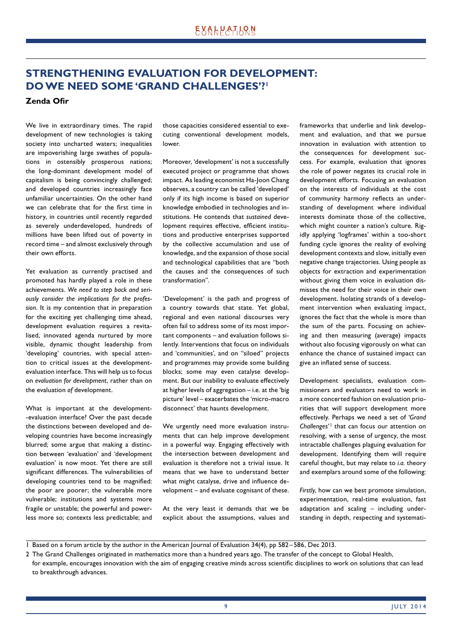## **STRENGTHENING EVALUATION FOR DEVELOPMENT: DO WE NEED SOME 'GRAND CHALLENGES'?1**

### **Zenda Ofir**

We live in extraordinary times. The rapid development of new technologies is taking society into uncharted waters; inequalities are impoverishing large swathes of populations in ostensibly prosperous nations; the long-dominant development model of capitalism is being convincingly challenged; and developed countries increasingly face unfamiliar uncertainties. On the other hand we can celebrate that for the first time in history, in countries until recently regarded as severely underdeveloped, hundreds of millions have been lifted out of poverty in record time – and almost exclusively through their own efforts.

Yet evaluation as currently practised and promoted has hardly played a role in these achievements. *We need to step back and seriously consider the implications for the profession*. It is my contention that in preparation for the exciting yet challenging time ahead, development evaluation requires a revitalised, innovated agenda nurtured by more visible, dynamic thought leadership from 'developing' countries, with special attention to critical issues at the developmentevaluation interface. This will help us to focus on *evaluation for development*, rather than on the evaluation *of* development.

What is important at the development- -evaluation interface? Over the past decade the distinctions between developed and developing countries have become increasingly blurred; some argue that making a distinction between 'evaluation' and 'development evaluation' is now moot. Yet there are still significant differences. The vulnerabilities of developing countries tend to be magnified: the poor are poorer; the vulnerable more vulnerable; institutions and systems more fragile or unstable; the powerful and powerless more so; contexts less predictable; and those capacities considered essential to executing conventional development models, lower.

Moreover, 'development' is not a successfully executed project or programme that shows impact. As leading economist Ha-Joon Chang observes, a country can be called 'developed' only if its high income is based on superior knowledge embodied in technologies and institutions. He contends that *sustained* development requires effective, efficient institutions and productive enterprises supported by the collective accumulation and use of knowledge, and the expansion of those social and technological capabilities that are "both the causes and the consequences of such transformation".

'Development' is the path and progress of a country towards that state. Yet global, regional and even national discourses very often fail to address some of its most important components – and evaluation follows silently. Interventions that focus on individuals and 'communities', and on "siloed" projects and programmes may provide some building blocks; some may even catalyse development. But our inability to evaluate effectively at higher levels of aggregation – i.e. at the 'big picture' level – exacerbates the 'micro -macro disconnect' that haunts development.

We urgently need more evaluation instruments that can help improve development in a powerful way. Engaging effectively with the intersection between development and evaluation is therefore not a trivial issue. It means that we have to understand better what might catalyse, drive and influence development – and evaluate cognisant of these.

At the very least it demands that we be explicit about the assumptions, values and frameworks that underlie and link development and evaluation, and that we pursue innovation in evaluation with attention to the consequences for development success. For example, evaluation that ignores the role of power negates its crucial role in development efforts. Focusing an evaluation on the interests of individuals at the cost of community harmony reflects an understanding of development where individual interests dominate those of the collective, which might counter a nation's culture. Rigidly applying 'logframes' within a too-short funding cycle ignores the reality of evolving development contexts and slow, initially even negative change trajectories. Using people as objects for extraction and experimentation without giving them voice in evaluation dismisses the need for their voice in their own development. Isolating strands of a development intervention when evaluating impact, ignores the fact that the whole is more than the sum of the parts. Focusing on achieving and then measuring (average) impacts without also focusing vigorously on what can enhance the chance of sustained impact can give an inflated sense of success.

Development specialists, evaluation commissioners and evaluators need to work in a more concerted fashion on evaluation priorities that will support development more effectively. Perhaps we need a set of *'Grand*  Challenges<sup>2</sup> that can focus our attention on resolving, with a sense of urgency, the most intractable challenges plaguing evaluation for development. Identifying them will require careful thought, but may relate to *i.a.* theory and exemplars around some of the following:

*Firstly*, how can we best promote simulation, experimentation, real-time evaluation, fast adaptation and scaling – including understanding in depth, respecting and systemati-

<sup>1</sup> Based on a forum article by the author in the American Journal of Evaluation 34(4), pp 582 – 586, Dec 2013.

<sup>2</sup> The Grand Challenges originated in mathematics more than a hundred years ago. The transfer of the concept to Global Health,

for example, encourages innovation with the aim of engaging creative minds across scientific disciplines to work on solutions that can lead to breakthrough advances.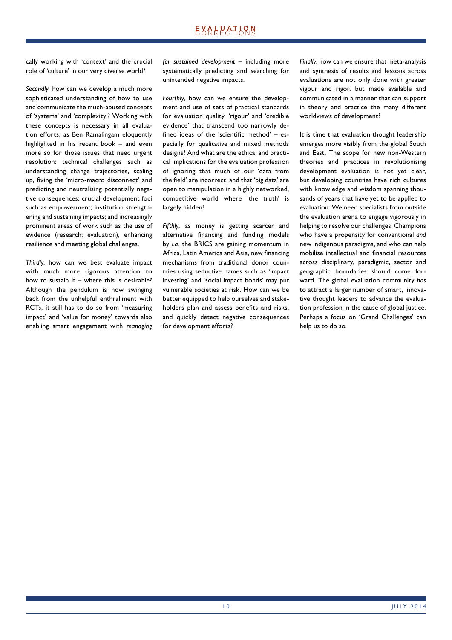cally working with 'context' and the crucial role of 'culture' in our very diverse world?

*Secondly*, how can we develop a much more sophisticated understanding of how to use and communicate the much-abused concepts of 'systems' and 'complexity'? Working with these concepts is necessary in all evaluation efforts, as Ben Ramalingam eloquently highlighted in his recent book – and even more so for those issues that need urgent resolution: technical challenges such as understanding change trajectories, scaling up, fixing the 'micro-macro disconnect' and predicting and neutralising potentially negative consequences; crucial development foci such as empowerment; institution strengthening and sustaining impacts; and increasingly prominent areas of work such as the use of evidence (research; evaluation), enhancing resilience and meeting global challenges.

*Thirdly*, how can we best evaluate impact with much more rigorous attention to how to sustain it – where this is desirable? Although the pendulum is now swinging back from the unhelpful enthrallment with RCTs, it still has to do so from 'measuring impact' and 'value for money' towards also enabling smart engagement with *managing*  *for sustained development* – including more systematically predicting and searching for unintended negative impacts.

*Fourthly*, how can we ensure the development and use of sets of practical standards for evaluation quality, 'rigour' and 'credible evidence' that transcend too narrowly defined ideas of the 'scientific method'  $-$  especially for qualitative and mixed methods designs? And what are the ethical and practical implications for the evaluation profession of ignoring that much of our 'data from the field' are incorrect, and that 'big data' are open to manipulation in a highly networked, competitive world where 'the truth' is largely hidden?

*Fifthly*, as money is getting scarcer and alternative financing and funding models by *i.a.* the BRICS are gaining momentum in Africa, Latin America and Asia, new financing mechanisms from traditional donor countries using seductive names such as 'impact investing' and 'social impact bonds' may put vulnerable societies at risk. How can we be better equipped to help ourselves and stakeholders plan and assess benefits and risks, and quickly detect negative consequences for development efforts?

*Finally*, how can we ensure that meta-analysis and synthesis of results and lessons across evaluations are not only done with greater vigour and rigor, but made available and communicated in a manner that can support in theory and practice the many different worldviews of development?

It is time that evaluation thought leadership emerges more visibly from the global South and East. The scope for new non-Western theories and practices in revolutionising development evaluation is not yet clear, but developing countries have rich cultures with knowledge and wisdom spanning thousands of years that have yet to be applied to evaluation. We need specialists from outside the evaluation arena to engage vigorously in helping to resolve our challenges. Champions who have a propensity for conventional *and* new indigenous paradigms, and who can help mobilise intellectual and financial resources across disciplinary, paradigmic, sector and geographic boundaries should come forward. The global evaluation community *has* to attract a larger number of smart, innovative thought leaders to advance the evaluation profession in the cause of global justice. Perhaps a focus on 'Grand Challenges' can help us to do so.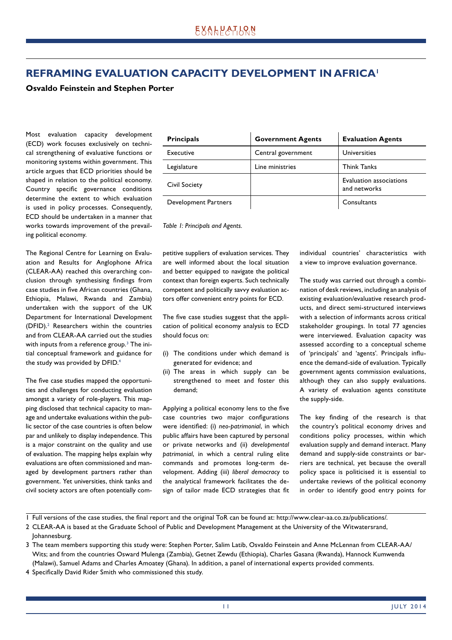# **REFRAMING EVALUATION CAPACITY DEVELOPMENT IN AFRICA1**

### **Osvaldo Feinstein and Stephen Porter**

Most evaluation capacity development (ECD) work focuses exclusively on technical strengthening of evaluative functions or monitoring systems within government. This article argues that ECD priorities should be shaped in relation to the political economy. Country specific governance conditions determine the extent to which evaluation is used in policy processes. Consequently, ECD should be undertaken in a manner that works towards improvement of the prevailing political economy.

The Regional Centre for Learning on Evaluation and Results for Anglophone Africa (CLEAR-AA) reached this overarching conclusion through synthesising findings from case studies in five African countries (Ghana, Ethiopia, Malawi, Rwanda and Zambia) undertaken with the support of the UK Department for International Development (DFID).2 Researchers within the countries and from CLEAR-AA carried out the studies with inputs from a reference group. $^3$  The initial conceptual framework and guidance for the study was provided by DFID.<sup>4</sup>

The five case studies mapped the opportunities and challenges for conducting evaluation amongst a variety of role-players. This mapping disclosed that technical capacity to manage and undertake evaluations within the public sector of the case countries is often below par and unlikely to display independence. This is a major constraint on the quality and use of evaluation. The mapping helps explain why evaluations are often commissioned and managed by development partners rather than government. Yet universities, think tanks and civil society actors are often potentially com-

| <b>Principals</b>    | <b>Government Agents</b> | <b>Evaluation Agents</b>                |
|----------------------|--------------------------|-----------------------------------------|
| Executive            | Central government       | Universities                            |
| Legislature          | Line ministries          | <b>Think Tanks</b>                      |
| <b>Civil Society</b> |                          | Evaluation associations<br>and networks |
| Development Partners |                          | Consultants                             |

*Table 1: Principals and Agents.*

petitive suppliers of evaluation services. They are well informed about the local situation and better equipped to navigate the political context than foreign experts. Such technically competent and politically savvy evaluation actors offer convenient entry points for ECD.

The five case studies suggest that the application of political economy analysis to ECD should focus on:

- (i) The conditions under which demand is generated for evidence; and
- (ii) The areas in which supply can be strengthened to meet and foster this demand;

Applying a political economy lens to the five case countries two major configurations were identified: (i) neo-patrimonial, in which public affairs have been captured by personal or private networks and (ii) *developmental patrimonial*, in which a central ruling elite commands and promotes long-term development. Adding (iii) *liberal democracy* to the analytical framework facilitates the design of tailor made ECD strategies that fit individual countries' characteristics with a view to improve evaluation governance.

The study was carried out through a combination of desk reviews, including an analysis of existing evaluation/evaluative research products, and direct semi-structured interviews with a selection of informants across critical stakeholder groupings. In total 77 agencies were interviewed. Evaluation capacity was assessed according to a conceptual scheme of 'principals' and 'agents'. Principals influence the demand-side of evaluation. Typically government agents commission evaluations, although they can also supply evaluations. A variety of evaluation agents constitute the supply-side.

The key finding of the research is that the country's political economy drives and conditions policy processes, within which evaluation supply and demand interact. Many demand and supply-side constraints or barriers are technical, yet because the overall policy space is politicised it is essential to undertake reviews of the political economy in order to identify good entry points for

1 Full versions of the case studies, the final report and the original ToR can be found at: http://www.clear-aa.co.za/publications/.

- 2 CLEAR-AA is based at the Graduate School of Public and Development Management at the University of the Witwatersrand,
- Johannesburg.
- 3 The team members supporting this study were: Stephen Porter, Salim Latib, Osvaldo Feinstein and Anne McLennan from CLEAR-AA/ Wits; and from the countries Osward Mulenga (Zambia), Getnet Zewdu (Ethiopia), Charles Gasana (Rwanda), Hannock Kumwenda (Malawi), Samuel Adams and Charles Amoatey (Ghana). In addition, a panel of international experts provided comments.
- 4 Specifically David Rider Smith who commissioned this study.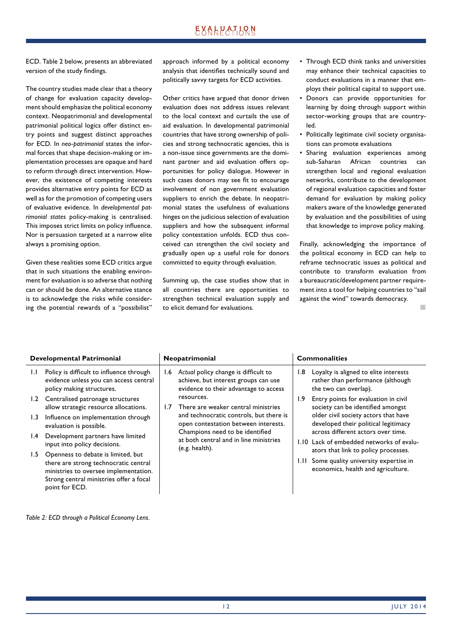# **EXALPATION**

ECD. Table 2 below, presents an abbreviated version of the study findings.

The country studies made clear that a theory of change for evaluation capacity development should emphasize the political economy context. Neopatrimonial and developmental patrimonial political logics offer distinct entry points and suggest distinct approaches for ECD. In *neo-patrimonial* states the informal forces that shape decision-making or implementation processes are opaque and hard to reform through direct intervention. However, the existence of competing interests provides alternative entry points for ECD as well as for the promotion of competing users of evaluative evidence. In *developmental patrimonial states* policy-making is centralised. This imposes strict limits on policy influence. Nor is persuasion targeted at a narrow elite always a promising option.

Given these realities some ECD critics argue that in such situations the enabling environment for evaluation is so adverse that nothing can or should be done. An alternative stance is to acknowledge the risks while considering the potential rewards of a "possibilist"

approach informed by a political economy analysis that identifies technically sound and politically savvy targets for ECD activities.

Other critics have argued that donor driven evaluation does not address issues relevant to the local context and curtails the use of aid evaluation. In developmental patrimonial countries that have strong ownership of policies and strong technocratic agencies, this is a non-issue since governments are the dominant partner and aid evaluation offers opportunities for policy dialogue. However in such cases donors may see fit to encourage involvement of non government evaluation suppliers to enrich the debate. In neopatrimonial states the usefulness of evaluations hinges on the judicious selection of evaluation suppliers and how the subsequent informal policy contestation unfolds. ECD thus conceived can strengthen the civil society and gradually open up a useful role for donors committed to equity through evaluation.

Summing up, the case studies show that in all countries there are opportunities to strengthen technical evaluation supply and to elicit demand for evaluations.

- Through ECD think tanks and universities may enhance their technical capacities to conduct evaluations in a manner that employs their political capital to support use.
- Donors can provide opportunities for learning by doing through support within sector-working groups that are countryled.
- Politically legitimate civil society organisations can promote evaluations
- Sharing evaluation experiences among sub-Saharan African countries can strengthen local and regional evaluation networks, contribute to the development of regional evaluation capacities and foster demand for evaluation by making policy makers aware of the knowledge generated by evaluation and the possibilities of using that knowledge to improve policy making.

Finally, acknowledging the importance of the political economy in ECD can help to reframe technocratic issues as political and contribute to transform evaluation from a bureaucratic/development partner requirement into a tool for helping countries to "sail against the wind" towards democracy.

 $\mathbf{u}$ 

| <b>Developmental Patrimonial</b> |                                                                                                                                                                                   | Neopatrimonial |                                                                                                                       | <b>Commonalities</b> |                                                                                                                                                                                                 |
|----------------------------------|-----------------------------------------------------------------------------------------------------------------------------------------------------------------------------------|----------------|-----------------------------------------------------------------------------------------------------------------------|----------------------|-------------------------------------------------------------------------------------------------------------------------------------------------------------------------------------------------|
| 1.1                              | Policy is difficult to influence through<br>evidence unless you can access central<br>policy making structures.                                                                   | l.6            | Actual policy change is difficult to<br>achieve, but interest groups can use<br>evidence to their advantage to access | l.8                  | Loyalty is aligned to elite interests<br>rather than performance (although<br>the two can overlap).                                                                                             |
| 1.2                              | Centralised patronage structures<br>allow strategic resource allocations.                                                                                                         | 1.7            | resources.<br>There are weaker central ministries                                                                     | 1.9                  | Entry points for evaluation in civil<br>society can be identified amongst<br>older civil society actors that have<br>developed their political legitimacy<br>across different actors over time. |
| 1.3                              | Influence on implementation through<br>evaluation is possible.                                                                                                                    |                | and technocratic controls, but there is<br>open contestation between interests.                                       |                      |                                                                                                                                                                                                 |
| $\mathsf{I}$ .4                  | Development partners have limited<br>input into policy decisions.                                                                                                                 |                | Champions need to be identified<br>at both central and in line ministries<br>(e.g. health).                           |                      | 1.10 Lack of embedded networks of evalu-                                                                                                                                                        |
| 1.5                              | Openness to debate is limited, but<br>there are strong technocratic central<br>ministries to oversee implementation.<br>Strong central ministries offer a focal<br>point for ECD. |                |                                                                                                                       | LH.                  | ators that link to policy processes.<br>Some quality university expertise in<br>economics, health and agriculture.                                                                              |

*Table 2: ECD through a Political Economy Lens.*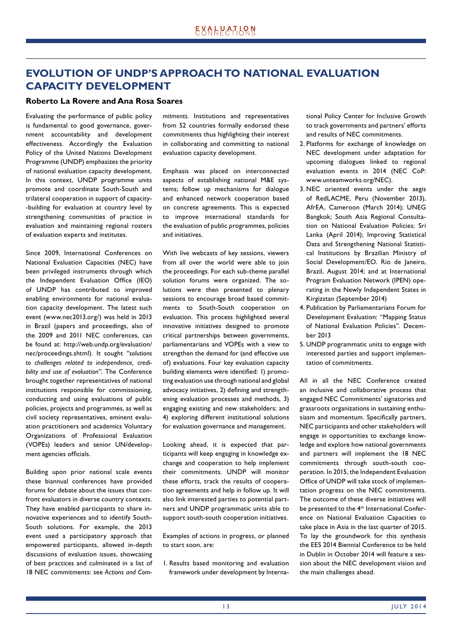# **EVOLUTION OF UNDP'S APPROACH TO NATIONAL EVALUATION CAPACITY DEVELOPMENT**

#### **Roberto La Rovere and Ana Rosa Soares**

Evaluating the performance of public policy is fundamental to good governance, government accountability and development effectiveness. Accordingly the Evaluation Policy of the United Nations Development Programme (UNDP) emphasizes the priority of national evaluation capacity development. In this context, UNDP programme units promote and coordinate South-South and trilateral cooperation in support of capacity- -building for evaluation at country level by strengthening communities of practice in evaluation and maintaining regional rosters of evaluation experts and institutes.

Since 2009, International Conferences on National Evaluation Capacities (NEC) have been privileged instruments through which the Independent Evaluation Office (IEO) of UNDP has contributed to improved enabling environments for national evaluation capacity development. The latest such event (www.nec2013.org/) was held in 2013 in Brazil (papers and proceedings, also of the 2009 and 2011 NEC conferences, can be found at: http://web.undp.org/evaluation/ nec/proceedings.shtml). It sought *"solutions to challenges related to independence, credibility and use of evaluation"*. The Conference brought together representatives of national institutions responsible for commissioning, conducting and using evaluations of public policies, projects and programmes, as well as civil society representatives, eminent evaluation practitioners and academics Voluntary Organizations of Professional Evaluation (VOPEs) leaders and senior UN/development agencies officials.

Building upon prior national scale events these biannual conferences have provided forums for debate about the issues that confront evaluators in diverse country contexts. They have enabled participants to share innovative experiences and to identify South-South solutions. For example, the 2013 event used a participatory approach that empowered participants, allowed in-depth discussions of evaluation issues, showcasing of best practices and culminated in a list of 18 NEC commitments: see *Actions and Com-* *mitments*. Institutions and representatives from 52 countries formally endorsed these commitments thus highlighting their interest in collaborating and committing to national evaluation capacity development.

Emphasis was placed on interconnected aspects of establishing national M&E systems; follow up mechanisms for dialogue and enhanced network cooperation based on concrete agreements. This is expected to improve international standards for the evaluation of public programmes, policies and initiatives.

With live webcasts of key sessions, viewers from all over the world were able to join the proceedings. For each sub-theme parallel solution forums were organized. The solutions were then presented to plenary sessions to encourage broad based commitments to South-South cooperation on evaluation. This process highlighted several innovative initiatives designed to promote critical partnerships between governments, parliamentarians and VOPEs with a view to strengthen the demand for (and effective use of) evaluations. Four key evaluation capacity building elements were identified: 1) promoting evaluation use through national and global advocacy initiatives, 2) defining and strengthening evaluation processes and methods, 3) engaging existing and new stakeholders; and 4) exploring different institutional solutions for evaluation governance and management.

Looking ahead, it is expected that participants will keep engaging in knowledge exchange and cooperation to help implement their commitments. UNDP will monitor these efforts, track the results of cooperation agreements and help in follow up. It will also link interested parties to potential partners and UNDP programmatic units able to support south-south cooperation initiatives.

Examples of actions in progress, or planned to start soon, are:

1. Results based monitoring and evaluation framework under development by International Policy Center for Inclusive Growth to track governments and partners' efforts and results of NEC commitments.

- 2. Platforms for exchange of knowledge on NEC development under adaptation for upcoming dialogues linked to regional evaluation events in 2014 (NEC CoP: www.unteamworks.org/NEC).
- 3. NEC oriented events under the aegis of RedLACME, Peru (November 2013), AfrEA, Cameroon (March 2014); UNEG Bangkok; South Asia Regional Consultation on National Evaluation Policies; Sri Lanka (April 2014); Improving Statistical Data and Strengthening National Statistical Institutions by Brazilian Ministry of Social Development/EO. Rio de Janeiro, Brazil, August 2014; and at International Program Evaluation Network (IPEN) operating in the Newly Independent States in Kirgizstan (September 2014)
- 4. Publication by Parliamentarians Forum for Development Evaluation: "Mapping Status of National Evaluation Policies". December 2013
- 5. UNDP programmatic units to engage with interested parties and support implementation of commitments.

All in all the NEC Conference created an inclusive and collaborative process that engaged NEC Commitments' signatories and grassroots organizations in sustaining enthusiasm and momentum. Specifically partners, NEC participants and other stakeholders will engage in opportunities to exchange knowledge and explore how national governments and partners will implement the 18 NEC commitments through south-south cooperation. In 2015, the Independent Evaluation Office of UNDP will take stock of implementation progress on the NEC commitments. The outcome of these diverse initiatives will be presented to the 4<sup>th</sup> International Conference on National Evaluation Capacities to take place in Asia in the last quarter of 2015. To lay the groundwork for this synthesis the EES 2014 Biennial Conference to be held in Dublin in October 2014 will feature a session about the NEC development vision and the main challenges ahead.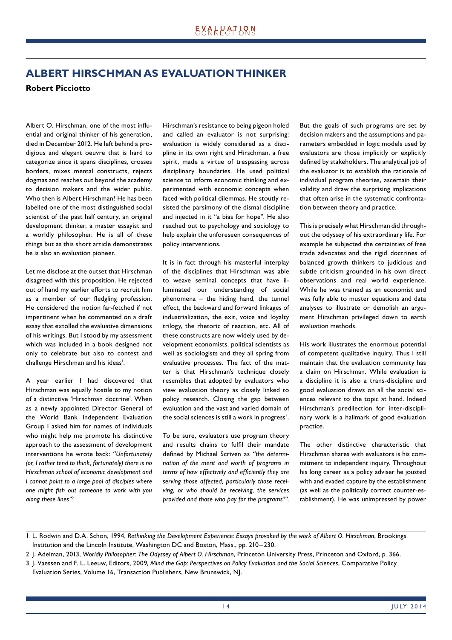## **ALBERT HIRSCHMAN AS EVALUATION THINKER**

### **Robert Picciotto**

Albert O. Hirschman, one of the most influential and original thinker of his generation, died in December 2012. He left behind a prodigious and elegant oeuvre that is hard to categorize since it spans disciplines, crosses borders, mixes mental constructs, rejects dogmas and reaches out beyond the academy to decision makers and the wider public. Who then is Albert Hirschman? He has been labelled one of the most distinguished social scientist of the past half century, an original development thinker, a master essayist and a worldly philosopher. He is all of these things but as this short article demonstrates he is also an evaluation pioneer.

Let me disclose at the outset that Hirschman disagreed with this proposition. He rejected out of hand my earlier efforts to recruit him as a member of our fledgling profession. He considered the notion far-fetched if not impertinent when he commented on a draft essay that extolled the evaluative dimensions of his writings. But I stood by my assessment which was included in a book designed not only to celebrate but also to contest and challenge Hirschman and his ideas<sup>1</sup>.

A year earlier I had discovered that Hirschman was equally hostile to my notion of a distinctive 'Hirschman doctrine'. When as a newly appointed Director General of the World Bank Independent Evaluation Group I asked him for names of individuals who might help me promote his distinctive approach to the assessment of development interventions he wrote back: *"Unfortunately (or, I rather tend to think, fortunately) there is no Hirschman school of economic development and I cannot point to a large pool of disciples where one might fi sh out someone to work with you along these lines"*<sup>2</sup>

Hirschman's resistance to being pigeon holed and called an evaluator is not surprising: evaluation is widely considered as a discipline in its own right and Hirschman, a free spirit, made a virtue of trespassing across disciplinary boundaries. He used political science to inform economic thinking and experimented with economic concepts when faced with political dilemmas. He stoutly resisted the parsimony of the dismal discipline and injected in it "a bias for hope". He also reached out to psychology and sociology to help explain the unforeseen consequences of policy interventions.

It is in fact through his masterful interplay of the disciplines that Hirschman was able to weave seminal concepts that have illuminated our understanding of social phenomena – the hiding hand, the tunnel effect, the backward and forward linkages of industrialization, the exit, voice and loyalty trilogy, the rhetoric of reaction, etc. All of these constructs are now widely used by development economists, political scientists as well as sociologists and they all spring from evaluative processes. The fact of the matter is that Hirschman's technique closely resembles that adopted by evaluators who view evaluation theory as closely linked to policy research. Closing the gap between evaluation and the vast and varied domain of the social sciences is still a work in progress<sup>3</sup>.

To be sure, evaluators use program theory and results chains to fulfil their mandate defined by Michael Scriven as "the determi*nation of the merit and worth of programs in*  terms of how effectively and efficiently they are *serving those affected, particularly those receiving, or who should be receiving, the services provided and those who pay for the programs*<sup>4</sup> *"*. But the goals of such programs are set by decision makers and the assumptions and parameters embedded in logic models used by evaluators are those implicitly or explicitly defined by stakeholders. The analytical job of the evaluator is to establish the rationale of individual program theories, ascertain their validity and draw the surprising implications that often arise in the systematic confrontation between theory and practice.

This is precisely what Hirschman did throughout the odyssey of his extraordinary life. For example he subjected the certainties of free trade advocates and the rigid doctrines of balanced growth thinkers to judicious and subtle criticism grounded in his own direct observations and real world experience. While he was trained as an economist and was fully able to muster equations and data analyses to illustrate or demolish an argument Hirschman privileged down to earth evaluation methods.

His work illustrates the enormous potential of competent qualitative inquiry. Thus I still maintain that the evaluation community has a claim on Hirschman. While evaluation is a discipline it is also a trans-discipline and good evaluation draws on all the social sciences relevant to the topic at hand. Indeed Hirschman's predilection for inter-disciplinary work is a hallmark of good evaluation practice.

The other distinctive characteristic that Hirschman shares with evaluators is his commitment to independent inquiry. Throughout his long career as a policy adviser he jousted with and evaded capture by the establishment (as well as the politically correct counter-establishment). He was unimpressed by power

<sup>1</sup> L. Rodwin and D.A. Schon, 1994, *Rethinking the Development Experience: Essays provoked by the work of Albert O. Hirschman*, Brookings Institution and the Lincoln Institute, Washington DC and Boston, Mass., pp. 210 – 230.

<sup>2</sup> J. Adelman, 2013, *Worldly Philosopher: The Odyssey of Albert O. Hirschman*, Princeton University Press, Princeton and Oxford, p. 366.

<sup>3</sup> J. Vaessen and F. L. Leeuw, Editors, 2009, *Mind the Gap: Perspectives on Policy Evaluation and the Social Sciences*, Comparative Policy Evaluation Series, Volume 16, Transaction Publishers, New Brunswick, NJ.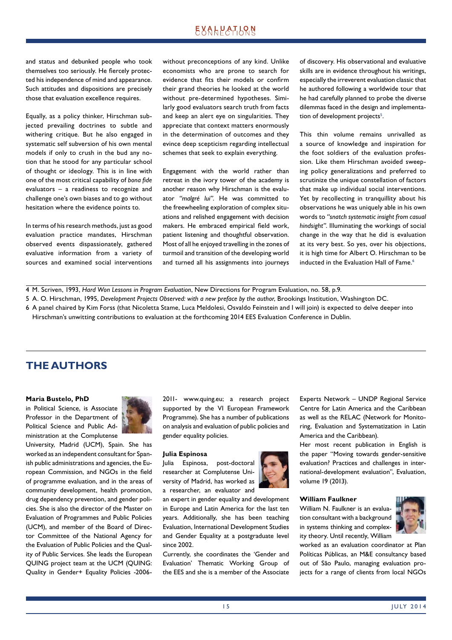## **EXALPATLQN**

and status and debunked people who took themselves too seriously. He fiercely protected his independence of mind and appearance. Such attitudes and dispositions are precisely those that evaluation excellence requires.

Equally, as a policy thinker, Hirschman subjected prevailing doctrines to subtle and withering critique. But he also engaged in systematic self subversion of his own mental models if only to crush in the bud any notion that he stood for any particular school of thought or ideology. This is in line with one of the most critical capability of *bona fide* evaluators – a readiness to recognize and challenge one's own biases and to go without hesitation where the evidence points to.

In terms of his research methods, just as good evaluation practice mandates, Hirschman observed events dispassionately, gathered evaluative information from a variety of sources and examined social interventions without preconceptions of any kind. Unlike economists who are prone to search for evidence that fits their models or confirm their grand theories he looked at the world without pre-determined hypotheses. Similarly good evaluators search truth from facts and keep an alert eye on singularities. They appreciate that context matters enormously in the determination of outcomes and they evince deep scepticism regarding intellectual schemes that seek to explain everything.

Engagement with the world rather than retreat in the ivory tower of the academy is another reason why Hirschman is the evaluator *"malgré lui"*. He was committed to the freewheeling exploration of complex situations and relished engagement with decision makers. He embraced empirical field work, patient listening and thoughtful observation. Most of all he enjoyed travelling in the zones of turmoil and transition of the developing world and turned all his assignments into journeys of discovery. His observational and evaluative skills are in evidence throughout his writings, especially the irreverent evaluation classic that he authored following a worldwide tour that he had carefully planned to probe the diverse dilemmas faced in the design and implementation of development projects<sup>5</sup>.

This thin volume remains unrivalled as a source of knowledge and inspiration for the foot soldiers of the evaluation profession. Like them Hirschman avoided sweeping policy generalizations and preferred to scrutinize the unique constellation of factors that make up individual social interventions. Yet by recollecting in tranquillity about his observations he was uniquely able in his own words to *"snatch systematic insight from casual hindsight"*. Illuminating the workings of social change in the way that he did is evaluation at its very best. So yes, over his objections, it is high time for Albert O. Hirschman to be inducted in the Evaluation Hall of Fame.<sup>6</sup>

4 M. Scriven, 1993, *Hard Won Lessons in Program Evaluation*, New Directions for Program Evaluation, no. 58, p.9.

5 A. O. Hirschman, 1995, *Development Projects Observed: with a new preface by the author*, Brookings Institution, Washington DC.

6 A panel chaired by Kim Forss (that Nicoletta Stame, Luca Meldolesi, Osvaldo Feinstein and I will join) is expected to delve deeper into

Hirschman's unwitting contributions to evaluation at the forthcoming 2014 EES Evaluation Conference in Dublin.

### **THE AUTHORS**

#### **Maria Bustelo, PhD**

in Political Science, is Associate Professor in the Department of Political Science and Public Administration at the Complutense



University, Madrid (UCM), Spain. She has worked as an independent consultant for Spanish public administrations and agencies, the European Commission, and NGOs in the field of programme evaluation, and in the areas of community development, health promotion, drug dependency prevention, and gender policies. She is also the director of the Master on Evaluation of Programmes and Public Policies (UCM), and member of the Board of Director Committee of the National Agency for the Evaluation of Public Policies and the Quality of Public Services. She leads the European QUING project team at the UCM (QUING: Quality in Gender+ Equality Policies -20062011- www.quing.eu; a research project supported by the VI European Framework Programme). She has a number of publications on analysis and evaluation of public policies and gender equality policies.

#### **Julia Espinosa**

Julia Espinosa, post-doctoral researcher at Complutense University of Madrid, has worked as a researcher, an evaluator and

an expert in gender equality and development in Europe and Latin America for the last ten years. Additionally, she has been teaching Evaluation, International Development Studies and Gender Equality at a postgraduate level since 2002.

Currently, she coordinates the 'Gender and Evaluation' Thematic Working Group of the EES and she is a member of the Associate Experts Network – UNDP Regional Service Centre for Latin America and the Caribbean as well as the RELAC (Network for Monitoring, Evaluation and Systematization in Latin America and the Caribbean).

Her most recent publication in English is the paper "Moving towards gender-sensitive evaluation? Practices and challenges in international-development evaluation", Evaluation, volume 19 (2013).

#### **William Faulkner**

William N. Faulkner is an evaluation consultant with a background in systems thinking and complexity theory. Until recently, William



worked as an evaluation coordinator at Plan Políticas Públicas, an M&E consultancy based out of São Paulo, managing evaluation projects for a range of clients from local NGOs